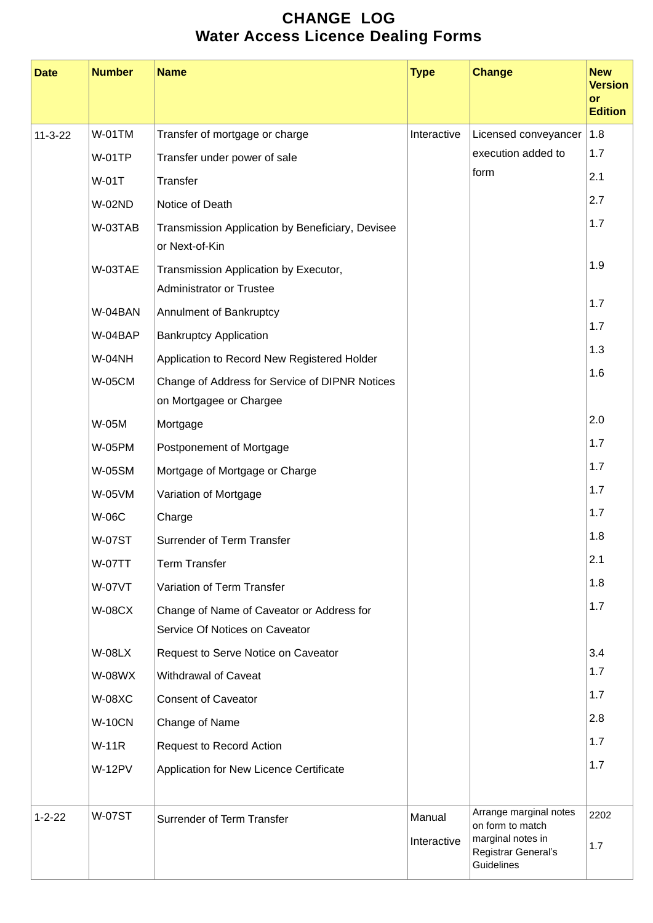## **CHANGE LOG Water Access Licence Dealing Forms**

| <b>Date</b>   | <b>Number</b> | <b>Name</b>                                                                 | <b>Type</b>           | <b>Change</b>                                                                                        | <b>New</b><br><b>Version</b><br>or<br><b>Edition</b> |
|---------------|---------------|-----------------------------------------------------------------------------|-----------------------|------------------------------------------------------------------------------------------------------|------------------------------------------------------|
| $11 - 3 - 22$ | <b>W-01TM</b> | Transfer of mortgage or charge                                              | Interactive           | Licensed conveyancer                                                                                 | 1.8                                                  |
|               | <b>W-01TP</b> | Transfer under power of sale                                                |                       | execution added to                                                                                   | 1.7                                                  |
|               | W-01T         | Transfer                                                                    |                       | form                                                                                                 | 2.1                                                  |
|               | <b>W-02ND</b> | Notice of Death                                                             |                       |                                                                                                      | 2.7                                                  |
|               | W-03TAB       | Transmission Application by Beneficiary, Devisee<br>or Next-of-Kin          |                       |                                                                                                      | 1.7                                                  |
|               | W-03TAE       | Transmission Application by Executor,<br><b>Administrator or Trustee</b>    |                       |                                                                                                      | 1.9                                                  |
|               | W-04BAN       | Annulment of Bankruptcy                                                     |                       |                                                                                                      | 1.7                                                  |
|               | W-04BAP       | <b>Bankruptcy Application</b>                                               |                       |                                                                                                      | 1.7                                                  |
|               | <b>W-04NH</b> | Application to Record New Registered Holder                                 |                       |                                                                                                      | 1.3                                                  |
|               | <b>W-05CM</b> | Change of Address for Service of DIPNR Notices<br>on Mortgagee or Chargee   |                       |                                                                                                      | 1.6                                                  |
|               | W-05M         | Mortgage                                                                    |                       |                                                                                                      | 2.0                                                  |
|               | <b>W-05PM</b> | Postponement of Mortgage                                                    |                       |                                                                                                      | 1.7                                                  |
|               | <b>W-05SM</b> | Mortgage of Mortgage or Charge                                              |                       |                                                                                                      | 1.7                                                  |
|               | W-05VM        | Variation of Mortgage                                                       |                       |                                                                                                      | 1.7                                                  |
|               | <b>W-06C</b>  | Charge                                                                      |                       |                                                                                                      | 1.7                                                  |
|               | <b>W-07ST</b> | Surrender of Term Transfer                                                  |                       |                                                                                                      | 1.8                                                  |
|               | <b>W-07TT</b> | <b>Term Transfer</b>                                                        |                       |                                                                                                      | 2.1                                                  |
|               | <b>W-07VT</b> | Variation of Term Transfer                                                  |                       |                                                                                                      | 1.8                                                  |
|               | <b>W-08CX</b> | Change of Name of Caveator or Address for<br>Service Of Notices on Caveator |                       |                                                                                                      | 1.7                                                  |
|               | <b>W-08LX</b> | Request to Serve Notice on Caveator                                         |                       |                                                                                                      | 3.4                                                  |
|               | W-08WX        | <b>Withdrawal of Caveat</b>                                                 |                       |                                                                                                      | 1.7                                                  |
|               | <b>W-08XC</b> | <b>Consent of Caveator</b>                                                  |                       |                                                                                                      | 1.7                                                  |
|               | <b>W-10CN</b> | Change of Name                                                              |                       |                                                                                                      | 2.8                                                  |
|               | <b>W-11R</b>  | <b>Request to Record Action</b>                                             |                       |                                                                                                      | 1.7                                                  |
|               | <b>W-12PV</b> | Application for New Licence Certificate                                     |                       |                                                                                                      | 1.7                                                  |
|               |               |                                                                             |                       |                                                                                                      |                                                      |
| $1 - 2 - 22$  | <b>W-07ST</b> | Surrender of Term Transfer                                                  | Manual<br>Interactive | Arrange marginal notes<br>on form to match<br>marginal notes in<br>Registrar General's<br>Guidelines | 2202<br>1.7                                          |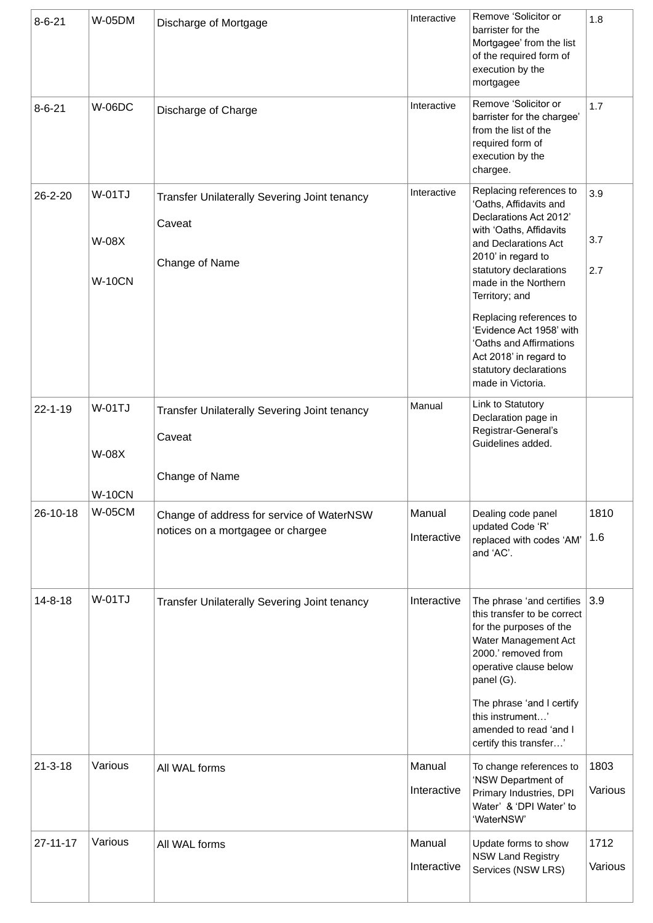| $8 - 6 - 21$   | <b>W-05DM</b>                           | Discharge of Mortgage                                                          | Interactive           | Remove 'Solicitor or<br>barrister for the<br>Mortgagee' from the list<br>of the required form of<br>execution by the<br>mortgagee                                                                                                                                                                                                                                                   | 1.8               |
|----------------|-----------------------------------------|--------------------------------------------------------------------------------|-----------------------|-------------------------------------------------------------------------------------------------------------------------------------------------------------------------------------------------------------------------------------------------------------------------------------------------------------------------------------------------------------------------------------|-------------------|
| $8 - 6 - 21$   | <b>W-06DC</b>                           | Discharge of Charge                                                            | Interactive           | Remove 'Solicitor or<br>barrister for the chargee'<br>from the list of the<br>required form of<br>execution by the<br>chargee.                                                                                                                                                                                                                                                      | 1.7               |
| 26-2-20        | W-01TJ<br><b>W-08X</b><br><b>W-10CN</b> | Transfer Unilaterally Severing Joint tenancy<br>Caveat<br>Change of Name       | Interactive           | Replacing references to<br>'Oaths, Affidavits and<br>Declarations Act 2012'<br>with 'Oaths, Affidavits<br>and Declarations Act<br>2010' in regard to<br>statutory declarations<br>made in the Northern<br>Territory; and<br>Replacing references to<br>'Evidence Act 1958' with<br>'Oaths and Affirmations<br>Act 2018' in regard to<br>statutory declarations<br>made in Victoria. | 3.9<br>3.7<br>2.7 |
| $22 - 1 - 19$  | <b>W-01TJ</b><br><b>W-08X</b>           | Transfer Unilaterally Severing Joint tenancy<br>Caveat<br>Change of Name       | Manual                | Link to Statutory<br>Declaration page in<br>Registrar-General's<br>Guidelines added.                                                                                                                                                                                                                                                                                                |                   |
| 26-10-18       | <b>W-10CN</b><br><b>W-05CM</b>          | Change of address for service of WaterNSW<br>notices on a mortgagee or chargee | Manual<br>Interactive | Dealing code panel<br>updated Code 'R'<br>replaced with codes 'AM'<br>and 'AC'.                                                                                                                                                                                                                                                                                                     | 1810<br>1.6       |
| $14 - 8 - 18$  | W-01TJ                                  | Transfer Unilaterally Severing Joint tenancy                                   | Interactive           | The phrase 'and certifies<br>this transfer to be correct<br>for the purposes of the<br>Water Management Act<br>2000.' removed from<br>operative clause below<br>panel (G).<br>The phrase 'and I certify<br>this instrument'<br>amended to read 'and I<br>certify this transfer'                                                                                                     | 3.9               |
| $21 - 3 - 18$  | Various                                 | All WAL forms                                                                  | Manual<br>Interactive | To change references to<br>'NSW Department of<br>Primary Industries, DPI<br>Water' & 'DPI Water' to<br>'WaterNSW'                                                                                                                                                                                                                                                                   | 1803<br>Various   |
| $27 - 11 - 17$ | Various                                 | All WAL forms                                                                  | Manual<br>Interactive | Update forms to show<br><b>NSW Land Registry</b><br>Services (NSW LRS)                                                                                                                                                                                                                                                                                                              | 1712<br>Various   |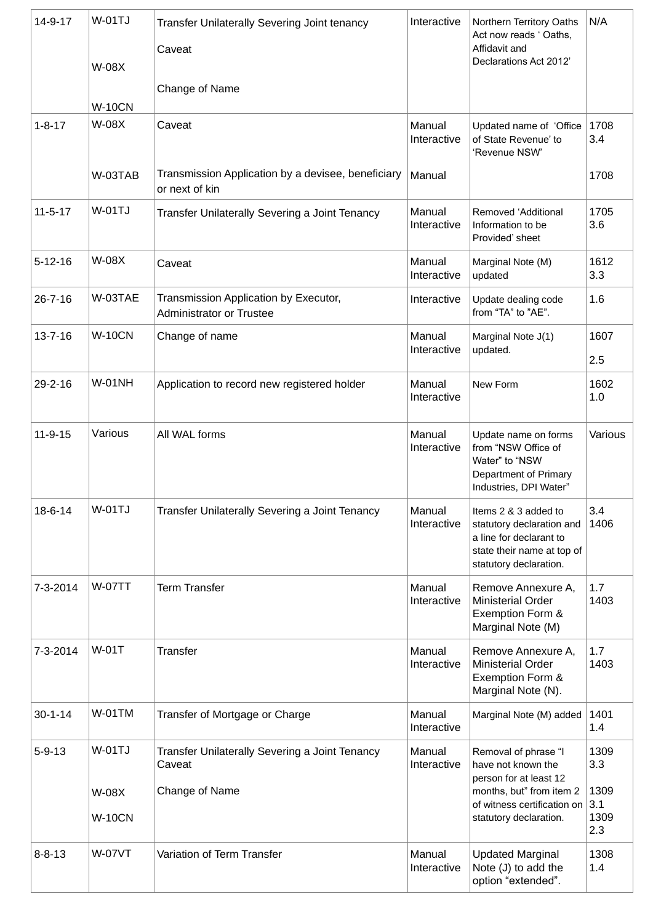| $14 - 9 - 17$ | <b>W-01TJ</b><br><b>W-08X</b><br><b>W-10CN</b> | <b>Transfer Unilaterally Severing Joint tenancy</b><br>Caveat<br>Change of Name | Interactive           | Northern Territory Oaths<br>Act now reads ' Oaths,<br>Affidavit and<br>Declarations Act 2012'                                        | N/A                        |
|---------------|------------------------------------------------|---------------------------------------------------------------------------------|-----------------------|--------------------------------------------------------------------------------------------------------------------------------------|----------------------------|
| $1 - 8 - 17$  | W-08X                                          | Caveat                                                                          | Manual<br>Interactive | Updated name of 'Office<br>of State Revenue' to<br>'Revenue NSW'                                                                     | 1708<br>3.4                |
|               | W-03TAB                                        | Transmission Application by a devisee, beneficiary<br>or next of kin            | Manual                |                                                                                                                                      | 1708                       |
| $11 - 5 - 17$ | <b>W-01TJ</b>                                  | Transfer Unilaterally Severing a Joint Tenancy                                  | Manual<br>Interactive | Removed 'Additional<br>Information to be<br>Provided' sheet                                                                          | 1705<br>3.6                |
| $5 - 12 - 16$ | <b>W-08X</b>                                   | Caveat                                                                          | Manual<br>Interactive | Marginal Note (M)<br>updated                                                                                                         | 1612<br>3.3                |
| $26 - 7 - 16$ | W-03TAE                                        | Transmission Application by Executor,<br><b>Administrator or Trustee</b>        | Interactive           | Update dealing code<br>from "TA" to "AE".                                                                                            | 1.6                        |
| $13 - 7 - 16$ | <b>W-10CN</b>                                  | Change of name                                                                  | Manual<br>Interactive | Marginal Note J(1)<br>updated.                                                                                                       | 1607<br>2.5                |
| 29-2-16       | <b>W-01NH</b>                                  | Application to record new registered holder                                     | Manual<br>Interactive | New Form                                                                                                                             | 1602<br>1.0                |
| $11 - 9 - 15$ | Various                                        | All WAL forms                                                                   | Manual<br>Interactive | Update name on forms<br>from "NSW Office of<br>Water" to "NSW<br>Department of Primary<br>Industries, DPI Water"                     | Various                    |
| 18-6-14       | <b>W-01TJ</b>                                  | Transfer Unilaterally Severing a Joint Tenancy                                  | Manual<br>Interactive | Items 2 & 3 added to<br>statutory declaration and<br>a line for declarant to<br>state their name at top of<br>statutory declaration. | 3.4<br>1406                |
| 7-3-2014      | <b>W-07TT</b>                                  | <b>Term Transfer</b>                                                            | Manual<br>Interactive | Remove Annexure A,<br><b>Ministerial Order</b><br>Exemption Form &<br>Marginal Note (M)                                              | 1.7<br>1403                |
| 7-3-2014      | <b>W-01T</b>                                   | Transfer                                                                        | Manual<br>Interactive | Remove Annexure A,<br><b>Ministerial Order</b><br>Exemption Form &<br>Marginal Note (N).                                             | 1.7<br>1403                |
| $30 - 1 - 14$ | <b>W-01TM</b>                                  | Transfer of Mortgage or Charge                                                  | Manual<br>Interactive | Marginal Note (M) added                                                                                                              | 1401<br>1.4                |
| $5 - 9 - 13$  | <b>W-01TJ</b>                                  | Transfer Unilaterally Severing a Joint Tenancy<br>Caveat                        | Manual<br>Interactive | Removal of phrase "I<br>have not known the<br>person for at least 12                                                                 | 1309<br>3.3                |
|               | W-08X<br><b>W-10CN</b>                         | Change of Name                                                                  |                       | months, but" from item 2<br>of witness certification on<br>statutory declaration.                                                    | 1309<br>3.1<br>1309<br>2.3 |
| $8 - 8 - 13$  | <b>W-07VT</b>                                  | Variation of Term Transfer                                                      | Manual<br>Interactive | <b>Updated Marginal</b><br>Note (J) to add the<br>option "extended".                                                                 | 1308<br>1.4                |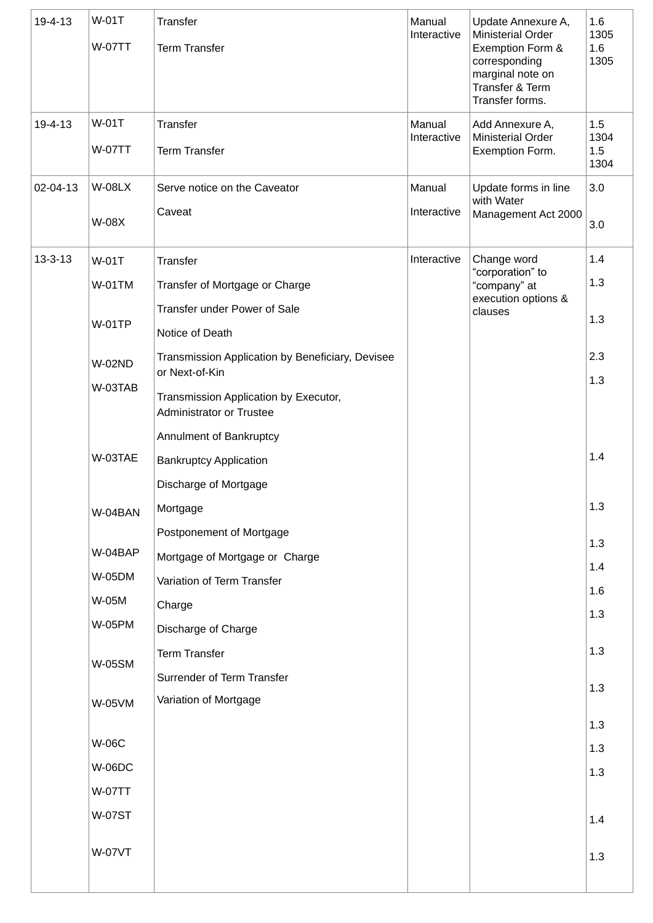| 19-4-13       | <b>W-01T</b><br><b>W-07TT</b>       | Transfer<br><b>Term Transfer</b>                                                                                                        | Manual<br>Interactive | Update Annexure A,<br><b>Ministerial Order</b><br>Exemption Form &<br>corresponding<br>marginal note on<br>Transfer & Term<br>Transfer forms. | 1.6<br>1305<br>1.6<br>1305 |
|---------------|-------------------------------------|-----------------------------------------------------------------------------------------------------------------------------------------|-----------------------|-----------------------------------------------------------------------------------------------------------------------------------------------|----------------------------|
| 19-4-13       | <b>W-01T</b><br><b>W-07TT</b>       | Transfer<br><b>Term Transfer</b>                                                                                                        | Manual<br>Interactive | Add Annexure A,<br><b>Ministerial Order</b><br>Exemption Form.                                                                                | 1.5<br>1304<br>1.5         |
| 02-04-13      | <b>W-08LX</b><br><b>W-08X</b>       | Serve notice on the Caveator<br>Caveat                                                                                                  | Manual<br>Interactive | Update forms in line<br>with Water<br>Management Act 2000                                                                                     | 1304<br>3.0<br>3.0         |
| $13 - 3 - 13$ | W-01T<br>$W-01$ TM<br><b>W-01TP</b> | Transfer<br>Transfer of Mortgage or Charge<br>Transfer under Power of Sale<br>Notice of Death                                           | Interactive           | Change word<br>"corporation" to<br>"company" at<br>execution options &<br>clauses                                                             | 1.4<br>1.3<br>1.3          |
|               | <b>W-02ND</b><br>W-03TAB            | Transmission Application by Beneficiary, Devisee<br>or Next-of-Kin<br>Transmission Application by Executor,<br>Administrator or Trustee |                       |                                                                                                                                               | 2.3<br>1.3                 |
|               | W-03TAE                             | Annulment of Bankruptcy<br><b>Bankruptcy Application</b><br>Discharge of Mortgage                                                       |                       |                                                                                                                                               | 1.4                        |
|               | W-04BAN                             | Mortgage<br>Postponement of Mortgage                                                                                                    |                       |                                                                                                                                               | 1.3                        |
|               | W-04BAP                             | Mortgage of Mortgage or Charge                                                                                                          |                       |                                                                                                                                               | 1.3                        |
|               | <b>W-05DM</b>                       | Variation of Term Transfer                                                                                                              |                       |                                                                                                                                               | 1.4                        |
|               | W-05M                               | Charge                                                                                                                                  |                       |                                                                                                                                               | 1.6                        |
|               | <b>W-05PM</b>                       | Discharge of Charge                                                                                                                     |                       |                                                                                                                                               | 1.3                        |
|               | <b>W-05SM</b>                       | <b>Term Transfer</b><br>Surrender of Term Transfer                                                                                      |                       |                                                                                                                                               | 1.3                        |
|               | <b>W-05VM</b>                       | Variation of Mortgage                                                                                                                   |                       |                                                                                                                                               | 1.3                        |
|               |                                     |                                                                                                                                         |                       |                                                                                                                                               | 1.3                        |
|               | <b>W-06C</b>                        |                                                                                                                                         |                       |                                                                                                                                               | 1.3                        |
|               | <b>W-06DC</b>                       |                                                                                                                                         |                       |                                                                                                                                               | 1.3                        |
|               | <b>W-07TT</b>                       |                                                                                                                                         |                       |                                                                                                                                               |                            |
|               | <b>W-07ST</b>                       |                                                                                                                                         |                       |                                                                                                                                               | 1.4                        |
|               | <b>W-07VT</b>                       |                                                                                                                                         |                       |                                                                                                                                               | 1.3                        |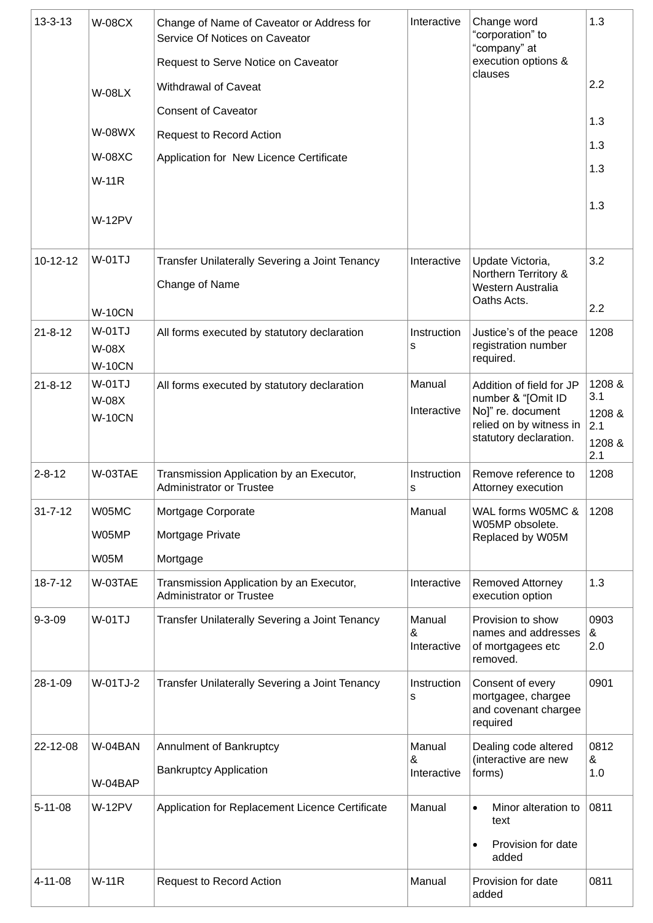| $13 - 3 - 13$ | <b>W-08CX</b>                  | Change of Name of Caveator or Address for<br>Service Of Notices on Caveator | Interactive      | Change word<br>"corporation" to<br>"company" at | 1.3           |
|---------------|--------------------------------|-----------------------------------------------------------------------------|------------------|-------------------------------------------------|---------------|
|               |                                | Request to Serve Notice on Caveator                                         |                  | execution options &<br>clauses                  |               |
|               | <b>W-08LX</b>                  | Withdrawal of Caveat                                                        |                  |                                                 | 2.2           |
|               |                                | <b>Consent of Caveator</b>                                                  |                  |                                                 | 1.3           |
|               | <b>W-08WX</b>                  | <b>Request to Record Action</b>                                             |                  |                                                 | 1.3           |
|               | <b>W-08XC</b>                  | Application for New Licence Certificate                                     |                  |                                                 | 1.3           |
|               | <b>W-11R</b>                   |                                                                             |                  |                                                 |               |
|               |                                |                                                                             |                  |                                                 | 1.3           |
|               | <b>W-12PV</b>                  |                                                                             |                  |                                                 |               |
| $10-12-12$    | <b>W-01TJ</b>                  | Transfer Unilaterally Severing a Joint Tenancy                              | Interactive      | Update Victoria,                                | 3.2           |
|               |                                | Change of Name                                                              |                  | Northern Territory &<br>Western Australia       |               |
|               | <b>W-10CN</b>                  |                                                                             |                  | Oaths Acts.                                     | 2.2           |
| $21 - 8 - 12$ | <b>W-01TJ</b>                  | All forms executed by statutory declaration                                 | Instruction      | Justice's of the peace                          | 1208          |
|               | W-08X                          |                                                                             | s                | registration number<br>required.                |               |
| $21 - 8 - 12$ | <b>W-10CN</b><br><b>W-01TJ</b> | All forms executed by statutory declaration                                 | Manual           | Addition of field for JP                        | 1208 &        |
|               | W-08X                          |                                                                             | Interactive      | number & "[Omit ID<br>No]" re. document         | 3.1<br>1208 & |
|               | <b>W-10CN</b>                  |                                                                             |                  | relied on by witness in                         | 2.1           |
|               |                                |                                                                             |                  | statutory declaration.                          | 1208 &<br>2.1 |
| $2 - 8 - 12$  | W-03TAE                        | Transmission Application by an Executor,<br><b>Administrator or Trustee</b> | Instruction<br>s | Remove reference to<br>Attorney execution       | 1208          |
| $31 - 7 - 12$ | W05MC                          | Mortgage Corporate                                                          | Manual           | WAL forms W05MC &<br>W05MP obsolete.            | 1208          |
|               | W05MP                          | Mortgage Private                                                            |                  | Replaced by W05M                                |               |
|               | W05M                           | Mortgage                                                                    |                  |                                                 |               |
| $18 - 7 - 12$ | W-03TAE                        | Transmission Application by an Executor,<br><b>Administrator or Trustee</b> | Interactive      | Removed Attorney<br>execution option            | 1.3           |
| $9 - 3 - 09$  | <b>W-01TJ</b>                  | Transfer Unilaterally Severing a Joint Tenancy                              | Manual           | Provision to show                               | 0903          |
|               |                                |                                                                             | &<br>Interactive | names and addresses<br>of mortgagees etc        | &<br>2.0      |
|               |                                |                                                                             |                  | removed.                                        |               |
| 28-1-09       | W-01TJ-2                       | Transfer Unilaterally Severing a Joint Tenancy                              | Instruction<br>s | Consent of every<br>mortgagee, chargee          | 0901          |
|               |                                |                                                                             |                  | and covenant chargee<br>required                |               |
| 22-12-08      | W-04BAN                        | Annulment of Bankruptcy                                                     | Manual           | Dealing code altered                            | 0812          |
|               |                                | <b>Bankruptcy Application</b>                                               | &<br>Interactive | (interactive are new<br>forms)                  | &<br>1.0      |
|               | W-04BAP                        |                                                                             |                  |                                                 |               |
| $5 - 11 - 08$ | <b>W-12PV</b>                  | Application for Replacement Licence Certificate                             | Manual           | Minor alteration to<br>text                     | 0811          |
|               |                                |                                                                             |                  | Provision for date                              |               |
|               |                                |                                                                             |                  | added                                           |               |
| $4 - 11 - 08$ | <b>W-11R</b>                   | <b>Request to Record Action</b>                                             | Manual           | Provision for date<br>added                     | 0811          |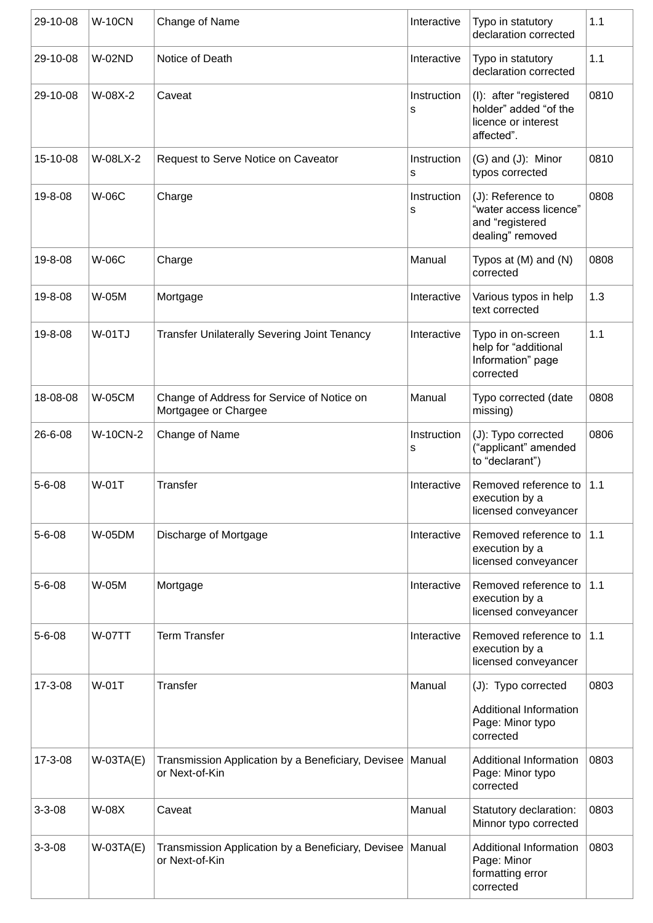| 29-10-08     | <b>W-10CN</b>   | Change of Name                                                                | Interactive      | Typo in statutory<br>declaration corrected                                           | 1.1  |
|--------------|-----------------|-------------------------------------------------------------------------------|------------------|--------------------------------------------------------------------------------------|------|
| 29-10-08     | <b>W-02ND</b>   | Notice of Death                                                               | Interactive      | Typo in statutory<br>declaration corrected                                           | 1.1  |
| 29-10-08     | W-08X-2         | Caveat                                                                        | Instruction<br>s | (I): after "registered<br>holder" added "of the<br>licence or interest<br>affected". | 0810 |
| 15-10-08     | W-08LX-2        | Request to Serve Notice on Caveator                                           | Instruction<br>s | (G) and (J): Minor<br>typos corrected                                                | 0810 |
| 19-8-08      | <b>W-06C</b>    | Charge                                                                        | Instruction<br>s | (J): Reference to<br>"water access licence"<br>and "registered<br>dealing" removed   | 0808 |
| 19-8-08      | <b>W-06C</b>    | Charge                                                                        | Manual           | Typos at $(M)$ and $(N)$<br>corrected                                                | 0808 |
| 19-8-08      | W-05M           | Mortgage                                                                      | Interactive      | Various typos in help<br>text corrected                                              | 1.3  |
| 19-8-08      | <b>W-01TJ</b>   | <b>Transfer Unilaterally Severing Joint Tenancy</b>                           | Interactive      | Typo in on-screen<br>help for "additional<br>Information" page<br>corrected          | 1.1  |
| 18-08-08     | <b>W-05CM</b>   | Change of Address for Service of Notice on<br>Mortgagee or Chargee            | Manual           | Typo corrected (date<br>missing)                                                     | 0808 |
| 26-6-08      | <b>W-10CN-2</b> | Change of Name                                                                | Instruction<br>S | (J): Typo corrected<br>("applicant" amended<br>to "declarant")                       | 0806 |
| $5 - 6 - 08$ | W-01T           | <b>Transfer</b>                                                               | Interactive      | Removed reference to<br>execution by a<br>licensed conveyancer                       | 1.1  |
| $5 - 6 - 08$ | <b>W-05DM</b>   | Discharge of Mortgage                                                         | Interactive      | Removed reference to<br>execution by a<br>licensed conveyancer                       | 1.1  |
| $5 - 6 - 08$ | W-05M           | Mortgage                                                                      | Interactive      | Removed reference to<br>execution by a<br>licensed conveyancer                       | 1.1  |
| $5 - 6 - 08$ | <b>W-07TT</b>   | <b>Term Transfer</b>                                                          | Interactive      | Removed reference to<br>execution by a<br>licensed conveyancer                       | 1.1  |
| 17-3-08      | W-01T           | <b>Transfer</b>                                                               | Manual           | (J): Typo corrected<br>Additional Information<br>Page: Minor typo<br>corrected       | 0803 |
| 17-3-08      | $W-03TA(E)$     | Transmission Application by a Beneficiary, Devisee   Manual<br>or Next-of-Kin |                  | Additional Information<br>Page: Minor typo<br>corrected                              | 0803 |
| $3 - 3 - 08$ | <b>W-08X</b>    | Caveat                                                                        | Manual           | Statutory declaration:<br>Minnor typo corrected                                      | 0803 |
| $3 - 3 - 08$ | $W-03TA(E)$     | Transmission Application by a Beneficiary, Devisee   Manual<br>or Next-of-Kin |                  | Additional Information<br>Page: Minor<br>formatting error<br>corrected               | 0803 |